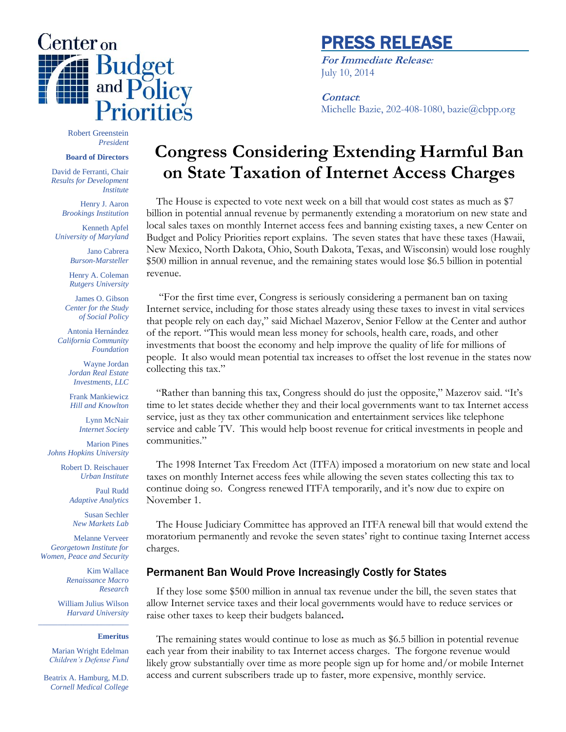

## PRESS RELEASE

**For Immediate Release***:* July 10, 2014

## **Contact**:

Michelle Bazie, 202-408-1080, bazie@cbpp.org

Robert Greenstein *President*

### **Board of Directors**

David de Ferranti, Chair *Results for Development Institute* 

Henry J. Aaron *Brookings Institution*

Kenneth Apfel *University of Maryland*

> Jano Cabrera *Burson-Marsteller*

Henry A. Coleman *Rutgers University*

James O. Gibson *Center for the Study of Social Policy*

Antonia Hernández *California Community Foundation*

> Wayne Jordan *Jordan Real Estate Investments, LLC*

Frank Mankiewicz *Hill and Knowlton*

Lynn McNair *Internet Society*

Marion Pines *Johns Hopkins University*

> Robert D. Reischauer *Urban Institute*

> > Paul Rudd *Adaptive Analytics*

Susan Sechler *New Markets Lab*

Melanne Verveer *Georgetown Institute for Women, Peace and Security*

> Kim Wallace *Renaissance Macro Research*

William Julius Wilson *Harvard University* \_\_\_\_\_\_\_\_\_\_\_\_\_\_\_\_\_\_\_\_\_\_\_

#### **Emeritus**

Marian Wright Edelman *Children's Defense Fund*

Beatrix A. Hamburg, M.D. *Cornell Medical College*

# **Congress Considering Extending Harmful Ban on State Taxation of Internet Access Charges**

The House is expected to vote next week on a bill that would cost states as much as \$7 billion in potential annual revenue by permanently extending a moratorium on new state and local sales taxes on monthly Internet access fees and banning existing taxes, a new Center on Budget and Policy Priorities report explains. The seven states that have these taxes (Hawaii, New Mexico, North Dakota, Ohio, South Dakota, Texas, and Wisconsin) would lose roughly \$500 million in annual revenue, and the remaining states would lose \$6.5 billion in potential revenue.

"For the first time ever, Congress is seriously considering a permanent ban on taxing Internet service, including for those states already using these taxes to invest in vital services that people rely on each day," said Michael Mazerov, Senior Fellow at the Center and author of the report. "This would mean less money for schools, health care, roads, and other investments that boost the economy and help improve the quality of life for millions of people. It also would mean potential tax increases to offset the lost revenue in the states now collecting this tax."

"Rather than banning this tax, Congress should do just the opposite," Mazerov said. "It's time to let states decide whether they and their local governments want to tax Internet access service, just as they tax other communication and entertainment services like telephone service and cable TV. This would help boost revenue for critical investments in people and communities."

The 1998 Internet Tax Freedom Act (ITFA) imposed a moratorium on new state and local taxes on monthly Internet access fees while allowing the seven states collecting this tax to continue doing so. Congress renewed ITFA temporarily, and it's now due to expire on November 1.

The House Judiciary Committee has approved an ITFA renewal bill that would extend the moratorium permanently and revoke the seven states' right to continue taxing Internet access charges.

### Permanent Ban Would Prove Increasingly Costly for States

If they lose some \$500 million in annual tax revenue under the bill, the seven states that allow Internet service taxes and their local governments would have to reduce services or raise other taxes to keep their budgets balanced**.**

The remaining states would continue to lose as much as \$6.5 billion in potential revenue each year from their inability to tax Internet access charges. The forgone revenue would likely grow substantially over time as more people sign up for home and/or mobile Internet access and current subscribers trade up to faster, more expensive, monthly service.